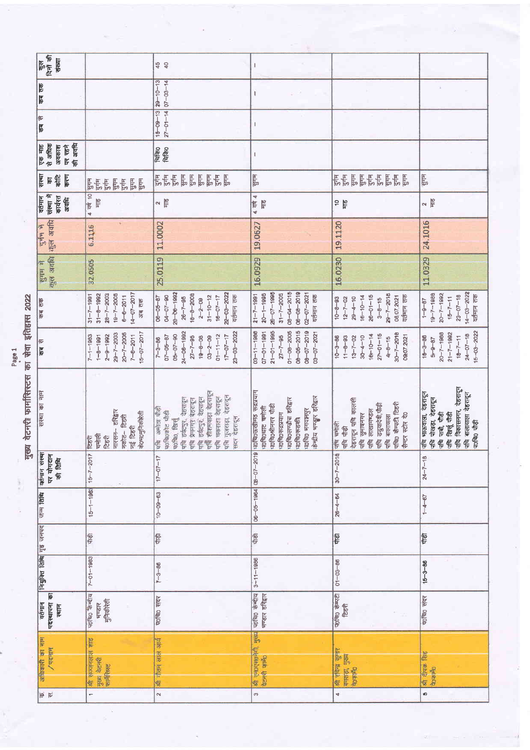| कुल<br>दिनों की<br>इंख्या                        |                                                                                                                                | 45                                                                                                                                                                                                                       | I                                                                                                                                                                                |                                                                                                                                                       |                                                                                                                            |
|--------------------------------------------------|--------------------------------------------------------------------------------------------------------------------------------|--------------------------------------------------------------------------------------------------------------------------------------------------------------------------------------------------------------------------|----------------------------------------------------------------------------------------------------------------------------------------------------------------------------------|-------------------------------------------------------------------------------------------------------------------------------------------------------|----------------------------------------------------------------------------------------------------------------------------|
| कब तक                                            |                                                                                                                                | $15 - 09 - 13$ $29 - 10 - 13$<br>$27 - 01 - 14$ 07-03-14                                                                                                                                                                 | $\mathsf{I}$                                                                                                                                                                     |                                                                                                                                                       | ö.                                                                                                                         |
| कब से                                            |                                                                                                                                |                                                                                                                                                                                                                          | $\overline{\phantom{a}}$                                                                                                                                                         |                                                                                                                                                       |                                                                                                                            |
| की अवधि<br>एक माह<br>से अधिक<br>अवकाश<br>पर रहने |                                                                                                                                | चिकि०<br>चिकि०                                                                                                                                                                                                           | $\mathbf{I}$                                                                                                                                                                     |                                                                                                                                                       |                                                                                                                            |
| सस्था<br>$\frac{1}{6}$<br>करण<br>Ιe              | $\frac{1}{2} \sum_{i=1}^{n} \frac{1}{2}$<br><b>Fire</b><br>$\frac{1}{2}$<br>등통등                                                | 동동동<br>का का सुनि<br>जुल्म<br>जुल्म<br>歸                                                                                                                                                                                 | पुगम                                                                                                                                                                             | 통합률통합통합                                                                                                                                               | <b>FLB</b>                                                                                                                 |
| वर्तमान<br>संस्था में<br>कार्यरत<br>g<br>55      | 4 4 10<br>$\frac{1}{2}$                                                                                                        | $\approx \frac{10}{5}$                                                                                                                                                                                                   | 4 वर्ष 4<br>F                                                                                                                                                                    | $\overline{\mathfrak{a}}$<br>旨                                                                                                                        | $\frac{2}{\sqrt{16}}$                                                                                                      |
| $\frac{1}{2}$                                    | 6.1116                                                                                                                         | 11.0002                                                                                                                                                                                                                  | 19.0627                                                                                                                                                                          | 19.1120                                                                                                                                               | 24,1016                                                                                                                    |
| कुल अवधि कुल अवधि<br>में मामू                    | 32.0505                                                                                                                        | 25.0119                                                                                                                                                                                                                  | 16.0929                                                                                                                                                                          | 16.0230                                                                                                                                               | 11.0329                                                                                                                    |
| कब तक                                            | $14 - 07 - 2017$<br>$31 - 8 - 1992$<br>$31 - 7 - 1991$<br>$28 - 7 - 2003$<br>$19 - 7 - 2005$<br>$6 - 6 - 2011$<br>अब तक        | 22-03-2022<br>28-06-4992<br>$18 - 8 - 2008$<br>$04 - 07 - 90$<br>$16 - 07 - 17$<br>वर्तमान तक<br>$06 - 05 - 87$<br>$31 - 10 - 12$<br>$26 - 7 - 95$<br>$2 - 2 - 09$                                                       | $08 - 04 - 2015$<br>$06 - 08 - 2019$<br>$26 - 07 - 1995$<br>$31 - 7 - 2005$<br>$20 - 1 - 1995$<br>$02 - 07 - 2021$<br>$21 - 7 - 1991$<br>वर्तमान तक                              | $29 - 7 - 2018$<br>$26 - 01 - 15$<br>$16 - 10 - 14$<br>08.07.2021<br>वर्तमान तक<br>$29 - 4 - 10$<br>$10 - 8 - 93$<br>$12 - 7 - 02$<br>$3 - 8 - 15$    | $14 - 03 - 2022$<br>$20 - 7 - 1992$<br>$19 - 7 - 1088$<br>यतमान तक<br>$23 - 07 - 18$<br>$15 - 7 - 11$<br>$1 - 9 - 87$      |
| कब से                                            | $15 - 07 - 2017$<br>$20 - 7 - 2005$<br>$29 - 7 - 2003$<br>$7 - 6 - 2011$<br>$2 - 9 - 1992$<br>$7 - 1 - 1983$<br>$1 - 8 - 1991$ | $24 - 06 - 1992$<br>$23 - 03 - 2022$<br>$05 - 07 - 90$<br>$01 - 11 - 12$<br>$17 - 07 - 17$<br>$07 - 05 - 87$<br>$27 - 7 - 95$<br>$19 - 8 - 08$<br>$03 - 2 - 09$<br>$7 - 3 - 86$                                          | $21 - 01 - 1995$<br>$08 - 05 - 2015$<br>$01 - 08 - 2005$<br>$08 - 07 - 2019$<br>$03 - 11 - 1986$<br>$07 - 01 - 1991$<br>03-07-2021<br>$27 - 7 - 95$                              | $30 - 7 - 2018$<br>$27 - 01 - 15$<br>$16 - 10 - 14$<br>09:07 2021<br>$13 - 7 - 02$<br>$30 - 4 - 10$<br>$11 - 8 - 93$<br>$10 - 3 - 86$<br>$4 - 8 - 15$ | $15 - 03 - 2022$<br>$21 - 7 - 1982$<br>$20 - 7 - 1988$<br>$24 - 07 - 18$<br>$18 - 7 - 11$<br>$15 - 3 - 86$<br>$5 - 9 - 87$ |
| संस्था का नाम                                    | नारसन– हरिद्वार<br>के०भ०मुनिकीरती<br>Franc- feath<br>नई टिहरी<br>चमोली<br>टिडरी<br>टिहरी                                       | पति इर्वटपुर, देहरादून<br>पति शीशमवाडा देहरादून<br>पवि गुजराड़ा, देहरादून<br>पवि धकराता देहरादून<br>पठचिठ, खिर्चु<br>पवि हर्वदपुर, देहरादुन<br>पवि प्रेमनगर देहरादून<br>पवि अमोठा पौड़ी<br>प0चि0कोट पौढी<br>सदर देहरादून | पराचितकखीमंड रूद्रप्रयाग<br>केन्द्रीय भण्डार हरिद्वार<br>प0चि0लण्डोस छरिद्वार<br><b>the shirted of</b><br>प0चि0घाट बनोली<br>प्राचित भगवानपुर<br>पाविएरूद्रप्रयाग<br>प्रावि०रूडकी | देहरादून पवि कालसी<br>पचि0 कैमरी टिहरी<br>何存信息的 俚<br>पवि लाखानण्डल<br>सैन्टर स्टोर दे<br>पति सुमाषनगर<br>पवि बालायाला<br>पनि चमोली<br>管悟              | पनि विकासनगर, देहरादुन<br>गचि भाऊवाला, दष्ठशदून<br>पनि बालावाला देहशदून<br>गनि पोखड़ा, देहरादून<br>有有效的<br>每日 品号           |
| यतमान संस्था<br>पर योगदान<br>की तिथि             | $15 - 7 - 2017$                                                                                                                | $17 - 07 - 17$                                                                                                                                                                                                           | $05 - 07 - 2019$                                                                                                                                                                 | $30 - 7 - 2018$                                                                                                                                       | $24 - 7 - 18$                                                                                                              |
| जन्म तिथि                                        | $15 - 1 - 1962$                                                                                                                | $10 - 09 - 63$                                                                                                                                                                                                           | $06 - 05 - 1964$                                                                                                                                                                 | $26 - 4 - 64$                                                                                                                                         | $1 - 4 - 67$                                                                                                               |
|                                                  | 曾                                                                                                                              | 曾                                                                                                                                                                                                                        | 爬                                                                                                                                                                                | 冒                                                                                                                                                     | 霄                                                                                                                          |
| नियुक्ति तिथि गृह जनपद                           | $7 - 01 - 1983$                                                                                                                | $7 - 3 - 86$                                                                                                                                                                                                             | $3 - 11 - 1986$                                                                                                                                                                  | $01 - 03 - 86$                                                                                                                                        | $15 - 3 - 86$                                                                                                              |
| पदस्थापना का<br>वर्तमान<br>स्थान                 | प0चि0 केन्दीय<br>नुनिकीरेती<br>भण्डार                                                                                          | प0चि0 संदर                                                                                                                                                                                                               | प0चि0 कंग्दीय<br>भण्डार डरिद्वार                                                                                                                                                 | प्राचि कम्पटी<br><b>Rest</b>                                                                                                                          | प्र0ाचि0 संदर                                                                                                              |
| अधिकारी का नाम<br>$/$ पदनाम                      | Silk<br>श्री सज्जनलाल<br>मुख्य बेटनरी<br><b>Griffing</b>                                                                       | गोतम लाल आय<br>每                                                                                                                                                                                                         | श्री एनउएस७नेगी, मुख्य<br>पेटनरी फ़ाने                                                                                                                                           | श्री रविश्व कुमार<br>delaist dans<br>电电视                                                                                                              | क्षी दीपक सिंह<br>distant                                                                                                  |
| 18 17                                            | $\overline{a}$                                                                                                                 | $\mathbf{\hat{z}}$                                                                                                                                                                                                       | $\sigma$                                                                                                                                                                         | 4                                                                                                                                                     | s.                                                                                                                         |

गुख्य वेटनरी फार्मासिस्टस का सेवा इतिहास 2022

š

 $\alpha$ 

Page 1